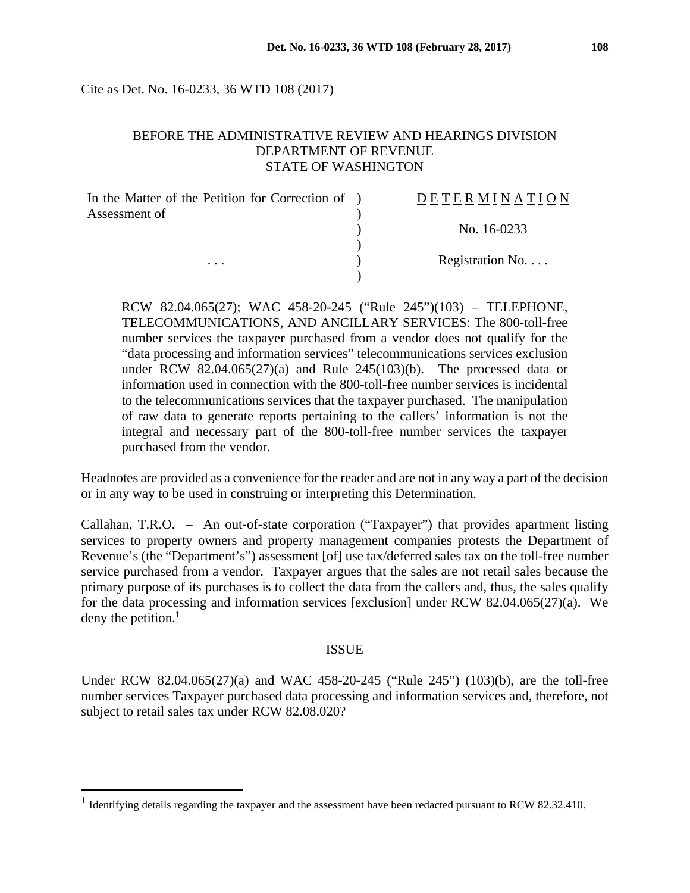Cite as Det. No. 16-0233, 36 WTD 108 (2017)

## BEFORE THE ADMINISTRATIVE REVIEW AND HEARINGS DIVISION DEPARTMENT OF REVENUE STATE OF WASHINGTON

| In the Matter of the Petition for Correction of ) | <b>DETERMINATION</b>      |
|---------------------------------------------------|---------------------------|
| Assessment of                                     |                           |
|                                                   | No. 16-0233               |
|                                                   |                           |
| .                                                 | Registration $No. \ldots$ |
|                                                   |                           |

RCW 82.04.065(27); WAC 458-20-245 ("Rule 245")(103) – TELEPHONE, TELECOMMUNICATIONS, AND ANCILLARY SERVICES: The 800-toll-free number services the taxpayer purchased from a vendor does not qualify for the "data processing and information services" telecommunications services exclusion under RCW 82.04.065 $(27)(a)$  and Rule 245 $(103)(b)$ . The processed data or information used in connection with the 800-toll-free number services is incidental to the telecommunications services that the taxpayer purchased. The manipulation of raw data to generate reports pertaining to the callers' information is not the integral and necessary part of the 800-toll-free number services the taxpayer purchased from the vendor.

Headnotes are provided as a convenience for the reader and are not in any way a part of the decision or in any way to be used in construing or interpreting this Determination.

Callahan, T.R.O. – An out-of-state corporation ("Taxpayer") that provides apartment listing services to property owners and property management companies protests the Department of Revenue's (the "Department's") assessment [of] use tax/deferred sales tax on the toll-free number service purchased from a vendor. Taxpayer argues that the sales are not retail sales because the primary purpose of its purchases is to collect the data from the callers and, thus, the sales qualify for the data processing and information services [exclusion] under RCW 82.04.065(27)(a). We deny the petition. $<sup>1</sup>$ </sup>

#### ISSUE

Under RCW 82.04.065(27)(a) and WAC 458-20-245 ("Rule 245") (103)(b), are the toll-free number services Taxpayer purchased data processing and information services and, therefore, not subject to retail sales tax under RCW 82.08.020?

 $\overline{a}$ 

<sup>&</sup>lt;sup>1</sup> Identifying details regarding the taxpayer and the assessment have been redacted pursuant to RCW 82.32.410.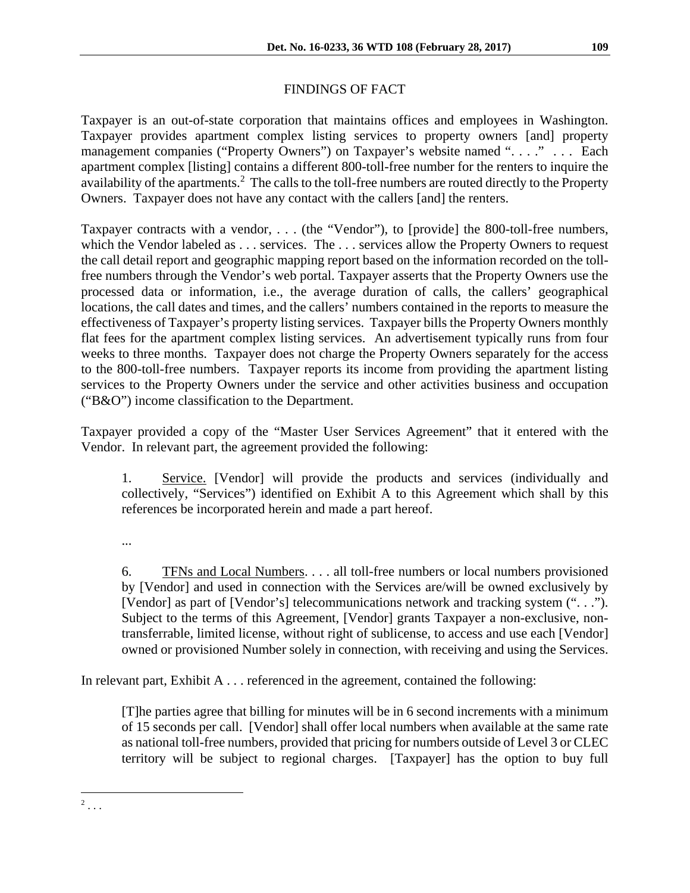# FINDINGS OF FACT

Taxpayer is an out-of-state corporation that maintains offices and employees in Washington. Taxpayer provides apartment complex listing services to property owners [and] property management companies ("Property Owners") on Taxpayer's website named ". . . ." . . . Each apartment complex [listing] contains a different 800-toll-free number for the renters to inquire the availability of the apartments.<sup>2</sup> The calls to the toll-free numbers are routed directly to the Property Owners. Taxpayer does not have any contact with the callers [and] the renters.

Taxpayer contracts with a vendor, . . . (the "Vendor"), to [provide] the 800-toll-free numbers, which the Vendor labeled as . . . services. The . . . services allow the Property Owners to request the call detail report and geographic mapping report based on the information recorded on the tollfree numbers through the Vendor's web portal. Taxpayer asserts that the Property Owners use the processed data or information, i.e., the average duration of calls, the callers' geographical locations, the call dates and times, and the callers' numbers contained in the reports to measure the effectiveness of Taxpayer's property listing services. Taxpayer bills the Property Owners monthly flat fees for the apartment complex listing services. An advertisement typically runs from four weeks to three months. Taxpayer does not charge the Property Owners separately for the access to the 800-toll-free numbers. Taxpayer reports its income from providing the apartment listing services to the Property Owners under the service and other activities business and occupation ("B&O") income classification to the Department.

Taxpayer provided a copy of the "Master User Services Agreement" that it entered with the Vendor. In relevant part, the agreement provided the following:

1. Service. [Vendor] will provide the products and services (individually and collectively, "Services") identified on Exhibit A to this Agreement which shall by this references be incorporated herein and made a part hereof.

...

6. TFNs and Local Numbers. . . . all toll-free numbers or local numbers provisioned by [Vendor] and used in connection with the Services are/will be owned exclusively by [Vendor] as part of [Vendor's] telecommunications network and tracking system (". . ."). Subject to the terms of this Agreement, [Vendor] grants Taxpayer a non-exclusive, nontransferrable, limited license, without right of sublicense, to access and use each [Vendor] owned or provisioned Number solely in connection, with receiving and using the Services.

In relevant part, Exhibit A  $\dots$  referenced in the agreement, contained the following:

[T]he parties agree that billing for minutes will be in 6 second increments with a minimum of 15 seconds per call. [Vendor] shall offer local numbers when available at the same rate as national toll-free numbers, provided that pricing for numbers outside of Level 3 or CLEC territory will be subject to regional charges. [Taxpayer] has the option to buy full

 $\frac{1}{2}$ ...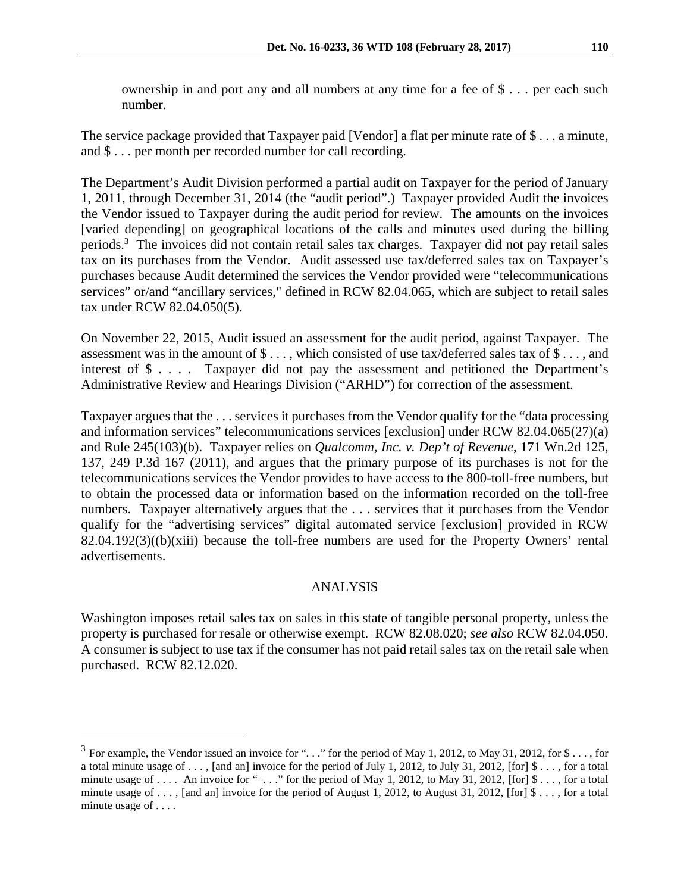ownership in and port any and all numbers at any time for a fee of \$ . . . per each such number.

The service package provided that Taxpayer paid [Vendor] a flat per minute rate of \$ . . . a minute, and \$ . . . per month per recorded number for call recording.

The Department's Audit Division performed a partial audit on Taxpayer for the period of January 1, 2011, through December 31, 2014 (the "audit period".) Taxpayer provided Audit the invoices the Vendor issued to Taxpayer during the audit period for review. The amounts on the invoices [varied depending] on geographical locations of the calls and minutes used during the billing periods.<sup>3</sup> The invoices did not contain retail sales tax charges. Taxpayer did not pay retail sales tax on its purchases from the Vendor. Audit assessed use tax/deferred sales tax on Taxpayer's purchases because Audit determined the services the Vendor provided were "telecommunications services" or/and "ancillary services," defined in RCW 82.04.065, which are subject to retail sales tax under RCW 82.04.050(5).

On November 22, 2015, Audit issued an assessment for the audit period, against Taxpayer. The assessment was in the amount of \$ . . . , which consisted of use tax/deferred sales tax of \$ . . . , and interest of \$ . . . . Taxpayer did not pay the assessment and petitioned the Department's Administrative Review and Hearings Division ("ARHD") for correction of the assessment.

Taxpayer argues that the . . . services it purchases from the Vendor qualify for the "data processing and information services" telecommunications services [exclusion] under RCW 82.04.065(27)(a) and Rule 245(103)(b). Taxpayer relies on *Qualcomm, Inc. v. Dep't of Revenue*, 171 Wn.2d 125, 137, 249 P.3d 167 (2011), and argues that the primary purpose of its purchases is not for the telecommunications services the Vendor provides to have access to the 800-toll-free numbers, but to obtain the processed data or information based on the information recorded on the toll-free numbers. Taxpayer alternatively argues that the . . . services that it purchases from the Vendor qualify for the "advertising services" digital automated service [exclusion] provided in RCW  $82.04.192(3)((b)(xiii)$  because the toll-free numbers are used for the Property Owners' rental advertisements.

## ANALYSIS

Washington imposes retail sales tax on sales in this state of tangible personal property, unless the property is purchased for resale or otherwise exempt. RCW 82.08.020; *see also* RCW 82.04.050. A consumer is subject to use tax if the consumer has not paid retail sales tax on the retail sale when purchased. RCW 82.12.020.

 $\overline{a}$ 

 $3$  For example, the Vendor issued an invoice for "..." for the period of May 1, 2012, to May 31, 2012, for \$ ..., for a total minute usage of ..., [and an] invoice for the period of July 1, 2012, to July 31, 2012, [for]  $\mathcal{S}$ ..., for a total minute usage of  $\dots$ . An invoice for "– $\dots$ " for the period of May 1, 2012, to May 31, 2012, [for] \$  $\dots$ , for a total minute usage of . . . , [and an] invoice for the period of August 1, 2012, to August 31, 2012, [for] \$ . . . , for a total minute usage of . . . .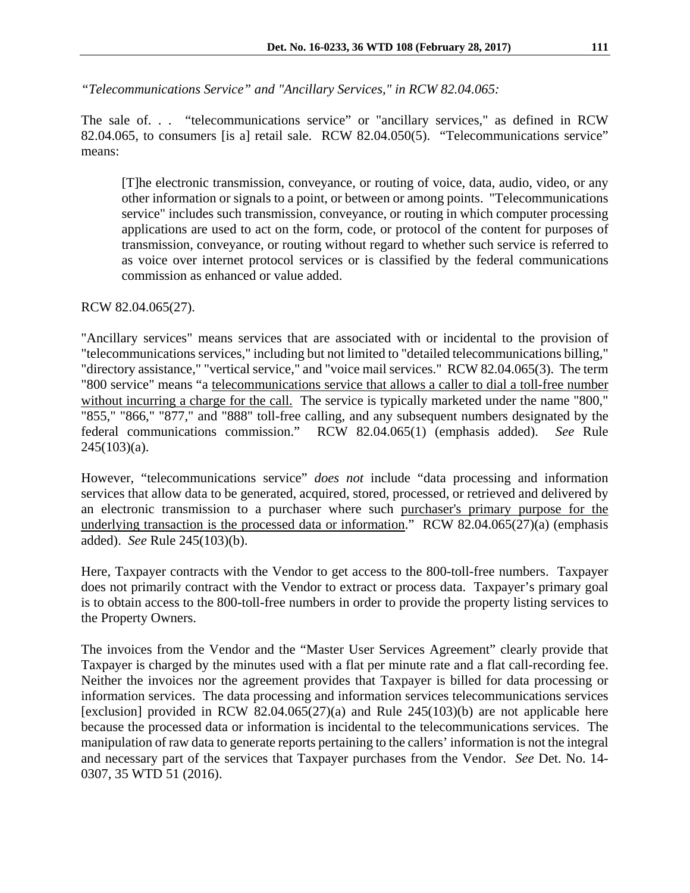*"Telecommunications Service" and "Ancillary Services," in RCW 82.04.065:* 

The sale of. . . "telecommunications service" or "ancillary services," as defined in RCW 82.04.065, to consumers [is a] retail sale. RCW 82.04.050(5). "Telecommunications service" means:

[T]he electronic transmission, conveyance, or routing of voice, data, audio, video, or any other information or signals to a point, or between or among points. "Telecommunications service" includes such transmission, conveyance, or routing in which computer processing applications are used to act on the form, code, or protocol of the content for purposes of transmission, conveyance, or routing without regard to whether such service is referred to as voice over internet protocol services or is classified by the federal communications commission as enhanced or value added.

RCW 82.04.065(27).

"Ancillary services" means services that are associated with or incidental to the provision of "telecommunications services," including but not limited to "detailed telecommunications billing," "directory assistance," "vertical service," and "voice mail services." RCW 82.04.065(3). The term "800 service" means "a telecommunications service that allows a caller to dial a toll-free number without incurring a charge for the call. The service is typically marketed under the name "800," "855," "866," "877," and "888" toll-free calling, and any subsequent numbers designated by the federal communications commission." RCW 82.04.065(1) (emphasis added). *See* Rule  $245(103)(a)$ .

However, "telecommunications service" *does not* include "data processing and information services that allow data to be generated, acquired, stored, processed, or retrieved and delivered by an electronic transmission to a purchaser where such purchaser's primary purpose for the underlying transaction is the processed data or information." RCW 82.04.065(27)(a) (emphasis added). *See* Rule 245(103)(b).

Here, Taxpayer contracts with the Vendor to get access to the 800-toll-free numbers. Taxpayer does not primarily contract with the Vendor to extract or process data. Taxpayer's primary goal is to obtain access to the 800-toll-free numbers in order to provide the property listing services to the Property Owners.

The invoices from the Vendor and the "Master User Services Agreement" clearly provide that Taxpayer is charged by the minutes used with a flat per minute rate and a flat call-recording fee. Neither the invoices nor the agreement provides that Taxpayer is billed for data processing or information services. The data processing and information services telecommunications services [exclusion] provided in RCW 82.04.065(27)(a) and Rule  $245(103)(b)$  are not applicable here because the processed data or information is incidental to the telecommunications services. The manipulation of raw data to generate reports pertaining to the callers' information is not the integral and necessary part of the services that Taxpayer purchases from the Vendor. *See* Det. No. 14- 0307, 35 WTD 51 (2016).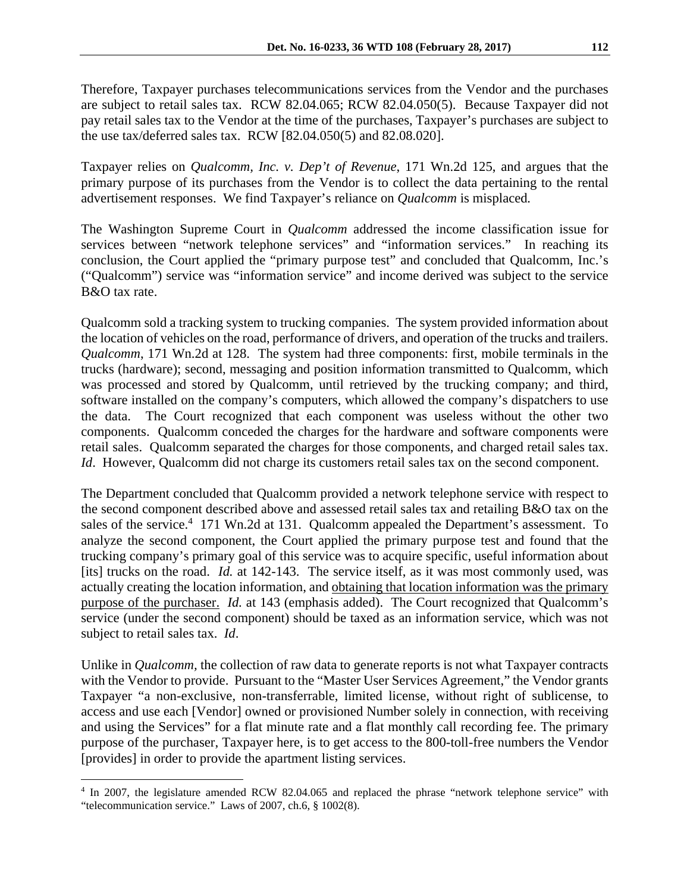Therefore, Taxpayer purchases telecommunications services from the Vendor and the purchases are subject to retail sales tax. RCW 82.04.065; RCW 82.04.050(5). Because Taxpayer did not pay retail sales tax to the Vendor at the time of the purchases, Taxpayer's purchases are subject to the use tax/deferred sales tax. RCW [82.04.050(5) and 82.08.020].

Taxpayer relies on *Qualcomm, Inc. v. Dep't of Revenue*, 171 Wn.2d 125, and argues that the primary purpose of its purchases from the Vendor is to collect the data pertaining to the rental advertisement responses. We find Taxpayer's reliance on *Qualcomm* is misplaced*.*

The Washington Supreme Court in *Qualcomm* addressed the income classification issue for services between "network telephone services" and "information services." In reaching its conclusion, the Court applied the "primary purpose test" and concluded that Qualcomm, Inc.'s ("Qualcomm") service was "information service" and income derived was subject to the service B&O tax rate.

Qualcomm sold a tracking system to trucking companies. The system provided information about the location of vehicles on the road, performance of drivers, and operation of the trucks and trailers. *Qualcomm*, 171 Wn.2d at 128. The system had three components: first, mobile terminals in the trucks (hardware); second, messaging and position information transmitted to Qualcomm, which was processed and stored by Qualcomm, until retrieved by the trucking company; and third, software installed on the company's computers, which allowed the company's dispatchers to use the data. The Court recognized that each component was useless without the other two components. Qualcomm conceded the charges for the hardware and software components were retail sales. Qualcomm separated the charges for those components, and charged retail sales tax. *Id.* However, Qualcomm did not charge its customers retail sales tax on the second component.

The Department concluded that Qualcomm provided a network telephone service with respect to the second component described above and assessed retail sales tax and retailing B&O tax on the sales of the service.<sup>4</sup> 171 Wn.2d at 131. Qualcomm appealed the Department's assessment. To analyze the second component, the Court applied the primary purpose test and found that the trucking company's primary goal of this service was to acquire specific, useful information about [its] trucks on the road. *Id.* at 142-143. The service itself, as it was most commonly used, was actually creating the location information, and obtaining that location information was the primary purpose of the purchaser. *Id.* at 143 (emphasis added). The Court recognized that Qualcomm's service (under the second component) should be taxed as an information service, which was not subject to retail sales tax. *Id*.

Unlike in *Qualcomm,* the collection of raw data to generate reports is not what Taxpayer contracts with the Vendor to provide. Pursuant to the "Master User Services Agreement," the Vendor grants Taxpayer "a non-exclusive, non-transferrable, limited license, without right of sublicense, to access and use each [Vendor] owned or provisioned Number solely in connection, with receiving and using the Services" for a flat minute rate and a flat monthly call recording fee. The primary purpose of the purchaser, Taxpayer here, is to get access to the 800-toll-free numbers the Vendor [provides] in order to provide the apartment listing services.

 $\overline{a}$ 

<sup>4</sup> In 2007, the legislature amended RCW 82.04.065 and replaced the phrase "network telephone service" with "telecommunication service." Laws of 2007, ch.6, § 1002(8).